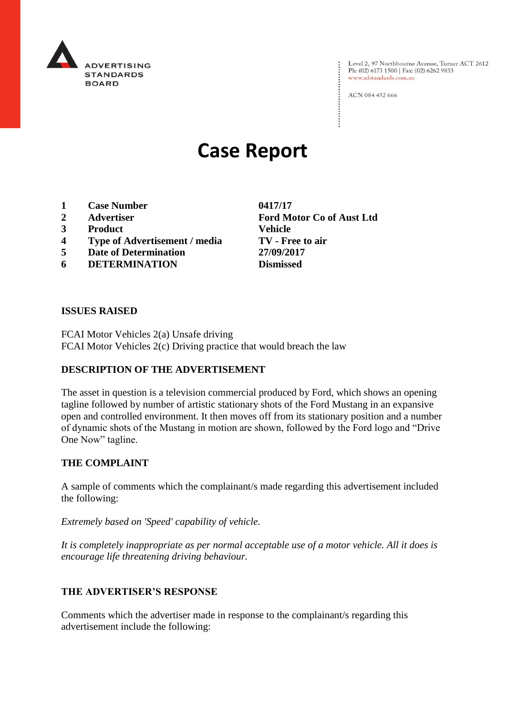

Level 2, 97 Northbourne Avenue, Turner ACT 2612<br>Ph: (02) 6173 1500 | Fax: (02) 6262 9833 www.adstandards.com.au

ACN 084 452 666

# **Case Report**

- **1 Case Number 0417/17**
- 
- **3 Product Vehicle**
- **4 Type of Advertisement / media TV - Free to air**
- **5 Date of Determination 27/09/2017**
- **6 DETERMINATION Dismissed**

**2 Advertiser Ford Motor Co of Aust Ltd**

#### **ISSUES RAISED**

FCAI Motor Vehicles 2(a) Unsafe driving FCAI Motor Vehicles 2(c) Driving practice that would breach the law

# **DESCRIPTION OF THE ADVERTISEMENT**

The asset in question is a television commercial produced by Ford, which shows an opening tagline followed by number of artistic stationary shots of the Ford Mustang in an expansive open and controlled environment. It then moves off from its stationary position and a number of dynamic shots of the Mustang in motion are shown, followed by the Ford logo and "Drive One Now" tagline.

## **THE COMPLAINT**

A sample of comments which the complainant/s made regarding this advertisement included the following:

*Extremely based on 'Speed' capability of vehicle.*

*It is completely inappropriate as per normal acceptable use of a motor vehicle. All it does is encourage life threatening driving behaviour.*

## **THE ADVERTISER'S RESPONSE**

Comments which the advertiser made in response to the complainant/s regarding this advertisement include the following: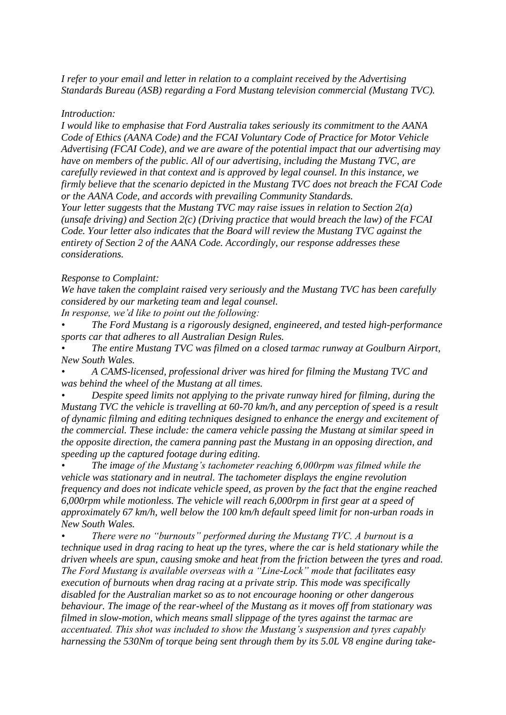*I refer to your email and letter in relation to a complaint received by the Advertising Standards Bureau (ASB) regarding a Ford Mustang television commercial (Mustang TVC).*

#### *Introduction:*

*I would like to emphasise that Ford Australia takes seriously its commitment to the AANA Code of Ethics (AANA Code) and the FCAI Voluntary Code of Practice for Motor Vehicle Advertising (FCAI Code), and we are aware of the potential impact that our advertising may have on members of the public. All of our advertising, including the Mustang TVC, are carefully reviewed in that context and is approved by legal counsel. In this instance, we firmly believe that the scenario depicted in the Mustang TVC does not breach the FCAI Code or the AANA Code, and accords with prevailing Community Standards.*

*Your letter suggests that the Mustang TVC may raise issues in relation to Section 2(a) (unsafe driving) and Section 2(c) (Driving practice that would breach the law) of the FCAI Code. Your letter also indicates that the Board will review the Mustang TVC against the entirety of Section 2 of the AANA Code. Accordingly, our response addresses these considerations.*

#### *Response to Complaint:*

*We have taken the complaint raised very seriously and the Mustang TVC has been carefully considered by our marketing team and legal counsel.*

*In response, we'd like to point out the following:*

*• The Ford Mustang is a rigorously designed, engineered, and tested high-performance sports car that adheres to all Australian Design Rules.*

*• The entire Mustang TVC was filmed on a closed tarmac runway at Goulburn Airport, New South Wales.*

*• A CAMS-licensed, professional driver was hired for filming the Mustang TVC and was behind the wheel of the Mustang at all times.*

*• Despite speed limits not applying to the private runway hired for filming, during the Mustang TVC the vehicle is travelling at 60-70 km/h, and any perception of speed is a result of dynamic filming and editing techniques designed to enhance the energy and excitement of the commercial. These include: the camera vehicle passing the Mustang at similar speed in the opposite direction, the camera panning past the Mustang in an opposing direction, and speeding up the captured footage during editing.*

*• The image of the Mustang's tachometer reaching 6,000rpm was filmed while the vehicle was stationary and in neutral. The tachometer displays the engine revolution frequency and does not indicate vehicle speed, as proven by the fact that the engine reached 6,000rpm while motionless. The vehicle will reach 6,000rpm in first gear at a speed of approximately 67 km/h, well below the 100 km/h default speed limit for non-urban roads in New South Wales.*

*• There were no "burnouts" performed during the Mustang TVC. A burnout is a technique used in drag racing to heat up the tyres, where the car is held stationary while the driven wheels are spun, causing smoke and heat from the friction between the tyres and road. The Ford Mustang is available overseas with a "Line-Lock" mode that facilitates easy execution of burnouts when drag racing at a private strip. This mode was specifically disabled for the Australian market so as to not encourage hooning or other dangerous behaviour. The image of the rear-wheel of the Mustang as it moves off from stationary was filmed in slow-motion, which means small slippage of the tyres against the tarmac are accentuated. This shot was included to show the Mustang's suspension and tyres capably harnessing the 530Nm of torque being sent through them by its 5.0L V8 engine during take-*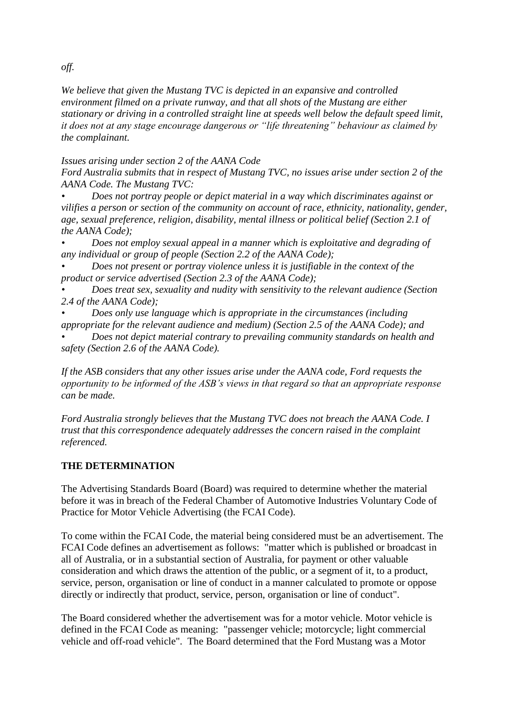## *We believe that given the Mustang TVC is depicted in an expansive and controlled environment filmed on a private runway, and that all shots of the Mustang are either stationary or driving in a controlled straight line at speeds well below the default speed limit, it does not at any stage encourage dangerous or "life threatening" behaviour as claimed by the complainant.*

*Issues arising under section 2 of the AANA Code*

*Ford Australia submits that in respect of Mustang TVC, no issues arise under section 2 of the AANA Code. The Mustang TVC:*

*• Does not portray people or depict material in a way which discriminates against or vilifies a person or section of the community on account of race, ethnicity, nationality, gender, age, sexual preference, religion, disability, mental illness or political belief (Section 2.1 of the AANA Code);*

*• Does not employ sexual appeal in a manner which is exploitative and degrading of any individual or group of people (Section 2.2 of the AANA Code);*

*• Does not present or portray violence unless it is justifiable in the context of the product or service advertised (Section 2.3 of the AANA Code);*

*• Does treat sex, sexuality and nudity with sensitivity to the relevant audience (Section 2.4 of the AANA Code);*

*• Does only use language which is appropriate in the circumstances (including appropriate for the relevant audience and medium) (Section 2.5 of the AANA Code); and*

*• Does not depict material contrary to prevailing community standards on health and safety (Section 2.6 of the AANA Code).*

*If the ASB considers that any other issues arise under the AANA code, Ford requests the opportunity to be informed of the ASB's views in that regard so that an appropriate response can be made.*

*Ford Australia strongly believes that the Mustang TVC does not breach the AANA Code. I trust that this correspondence adequately addresses the concern raised in the complaint referenced.*

## **THE DETERMINATION**

The Advertising Standards Board (Board) was required to determine whether the material before it was in breach of the Federal Chamber of Automotive Industries Voluntary Code of Practice for Motor Vehicle Advertising (the FCAI Code).

To come within the FCAI Code, the material being considered must be an advertisement. The FCAI Code defines an advertisement as follows: "matter which is published or broadcast in all of Australia, or in a substantial section of Australia, for payment or other valuable consideration and which draws the attention of the public, or a segment of it, to a product, service, person, organisation or line of conduct in a manner calculated to promote or oppose directly or indirectly that product, service, person, organisation or line of conduct".

The Board considered whether the advertisement was for a motor vehicle. Motor vehicle is defined in the FCAI Code as meaning: "passenger vehicle; motorcycle; light commercial vehicle and off-road vehicle". The Board determined that the Ford Mustang was a Motor

*off.*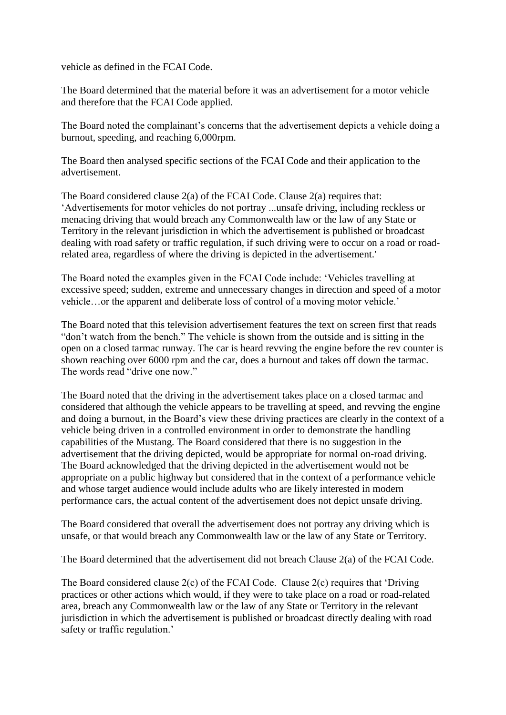vehicle as defined in the FCAI Code.

The Board determined that the material before it was an advertisement for a motor vehicle and therefore that the FCAI Code applied.

The Board noted the complainant's concerns that the advertisement depicts a vehicle doing a burnout, speeding, and reaching 6,000rpm.

The Board then analysed specific sections of the FCAI Code and their application to the advertisement.

The Board considered clause 2(a) of the FCAI Code. Clause 2(a) requires that: 'Advertisements for motor vehicles do not portray ...unsafe driving, including reckless or menacing driving that would breach any Commonwealth law or the law of any State or Territory in the relevant jurisdiction in which the advertisement is published or broadcast dealing with road safety or traffic regulation, if such driving were to occur on a road or roadrelated area, regardless of where the driving is depicted in the advertisement.'

The Board noted the examples given in the FCAI Code include: 'Vehicles travelling at excessive speed; sudden, extreme and unnecessary changes in direction and speed of a motor vehicle…or the apparent and deliberate loss of control of a moving motor vehicle.'

The Board noted that this television advertisement features the text on screen first that reads "don't watch from the bench." The vehicle is shown from the outside and is sitting in the open on a closed tarmac runway. The car is heard revving the engine before the rev counter is shown reaching over 6000 rpm and the car, does a burnout and takes off down the tarmac. The words read "drive one now."

The Board noted that the driving in the advertisement takes place on a closed tarmac and considered that although the vehicle appears to be travelling at speed, and revving the engine and doing a burnout, in the Board's view these driving practices are clearly in the context of a vehicle being driven in a controlled environment in order to demonstrate the handling capabilities of the Mustang. The Board considered that there is no suggestion in the advertisement that the driving depicted, would be appropriate for normal on-road driving. The Board acknowledged that the driving depicted in the advertisement would not be appropriate on a public highway but considered that in the context of a performance vehicle and whose target audience would include adults who are likely interested in modern performance cars, the actual content of the advertisement does not depict unsafe driving.

The Board considered that overall the advertisement does not portray any driving which is unsafe, or that would breach any Commonwealth law or the law of any State or Territory.

The Board determined that the advertisement did not breach Clause 2(a) of the FCAI Code.

The Board considered clause  $2(c)$  of the FCAI Code. Clause  $2(c)$  requires that 'Driving practices or other actions which would, if they were to take place on a road or road-related area, breach any Commonwealth law or the law of any State or Territory in the relevant jurisdiction in which the advertisement is published or broadcast directly dealing with road safety or traffic regulation.'